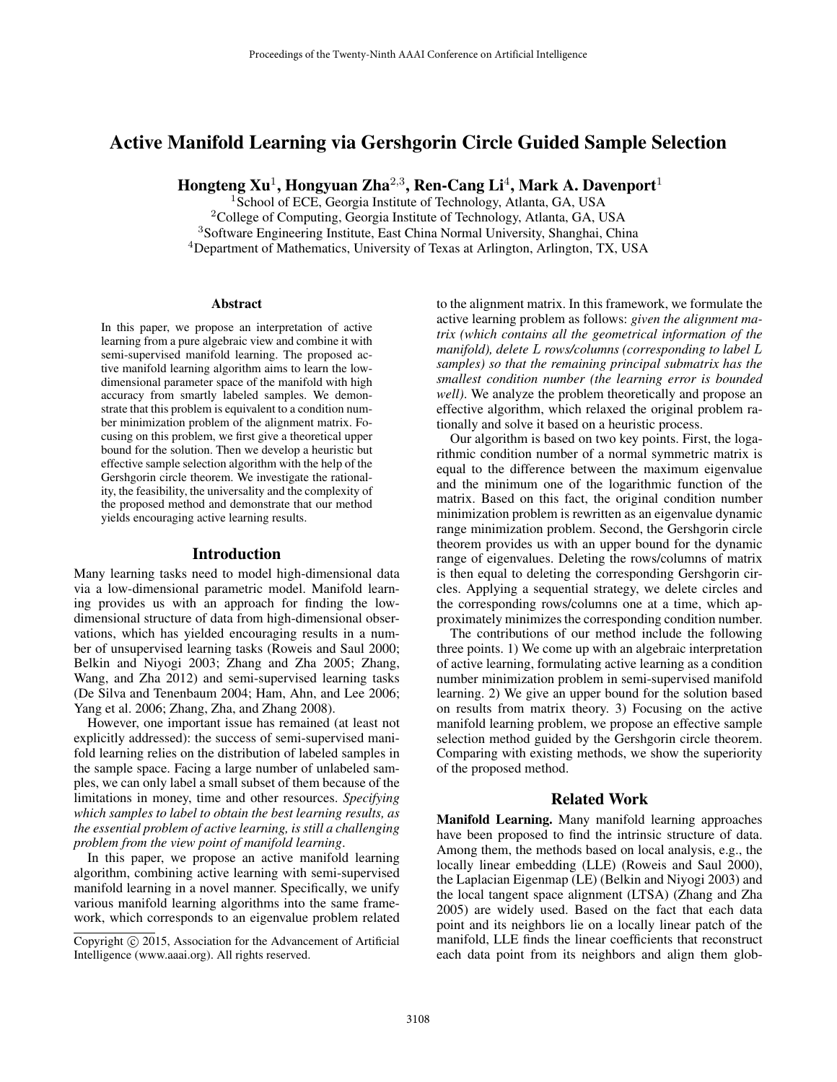# Active Manifold Learning via Gershgorin Circle Guided Sample Selection

Hongteng Xu<sup>1</sup>, Hongyuan Zha<sup>2,3</sup>, Ren-Cang Li<sup>4</sup>, Mark A. Davenport<sup>1</sup>

<sup>1</sup> School of ECE, Georgia Institute of Technology, Atlanta, GA, USA <sup>2</sup>College of Computing, Georgia Institute of Technology, Atlanta, GA, USA <sup>3</sup>Software Engineering Institute, East China Normal University, Shanghai, China <sup>4</sup>Department of Mathematics, University of Texas at Arlington, Arlington, TX, USA

#### Abstract

In this paper, we propose an interpretation of active learning from a pure algebraic view and combine it with semi-supervised manifold learning. The proposed active manifold learning algorithm aims to learn the lowdimensional parameter space of the manifold with high accuracy from smartly labeled samples. We demonstrate that this problem is equivalent to a condition number minimization problem of the alignment matrix. Focusing on this problem, we first give a theoretical upper bound for the solution. Then we develop a heuristic but effective sample selection algorithm with the help of the Gershgorin circle theorem. We investigate the rationality, the feasibility, the universality and the complexity of the proposed method and demonstrate that our method yields encouraging active learning results.

#### Introduction

Many learning tasks need to model high-dimensional data via a low-dimensional parametric model. Manifold learning provides us with an approach for finding the lowdimensional structure of data from high-dimensional observations, which has yielded encouraging results in a number of unsupervised learning tasks (Roweis and Saul 2000; Belkin and Niyogi 2003; Zhang and Zha 2005; Zhang, Wang, and Zha 2012) and semi-supervised learning tasks (De Silva and Tenenbaum 2004; Ham, Ahn, and Lee 2006; Yang et al. 2006; Zhang, Zha, and Zhang 2008).

However, one important issue has remained (at least not explicitly addressed): the success of semi-supervised manifold learning relies on the distribution of labeled samples in the sample space. Facing a large number of unlabeled samples, we can only label a small subset of them because of the limitations in money, time and other resources. *Specifying which samples to label to obtain the best learning results, as the essential problem of active learning, is still a challenging problem from the view point of manifold learning*.

In this paper, we propose an active manifold learning algorithm, combining active learning with semi-supervised manifold learning in a novel manner. Specifically, we unify various manifold learning algorithms into the same framework, which corresponds to an eigenvalue problem related to the alignment matrix. In this framework, we formulate the active learning problem as follows: *given the alignment matrix (which contains all the geometrical information of the manifold), delete* L *rows/columns (corresponding to label* L *samples) so that the remaining principal submatrix has the smallest condition number (the learning error is bounded well)*. We analyze the problem theoretically and propose an effective algorithm, which relaxed the original problem rationally and solve it based on a heuristic process.

Our algorithm is based on two key points. First, the logarithmic condition number of a normal symmetric matrix is equal to the difference between the maximum eigenvalue and the minimum one of the logarithmic function of the matrix. Based on this fact, the original condition number minimization problem is rewritten as an eigenvalue dynamic range minimization problem. Second, the Gershgorin circle theorem provides us with an upper bound for the dynamic range of eigenvalues. Deleting the rows/columns of matrix is then equal to deleting the corresponding Gershgorin circles. Applying a sequential strategy, we delete circles and the corresponding rows/columns one at a time, which approximately minimizes the corresponding condition number.

The contributions of our method include the following three points. 1) We come up with an algebraic interpretation of active learning, formulating active learning as a condition number minimization problem in semi-supervised manifold learning. 2) We give an upper bound for the solution based on results from matrix theory. 3) Focusing on the active manifold learning problem, we propose an effective sample selection method guided by the Gershgorin circle theorem. Comparing with existing methods, we show the superiority of the proposed method.

### Related Work

Manifold Learning. Many manifold learning approaches have been proposed to find the intrinsic structure of data. Among them, the methods based on local analysis, e.g., the locally linear embedding (LLE) (Roweis and Saul 2000), the Laplacian Eigenmap (LE) (Belkin and Niyogi 2003) and the local tangent space alignment (LTSA) (Zhang and Zha 2005) are widely used. Based on the fact that each data point and its neighbors lie on a locally linear patch of the manifold, LLE finds the linear coefficients that reconstruct each data point from its neighbors and align them glob-

Copyright © 2015, Association for the Advancement of Artificial Intelligence (www.aaai.org). All rights reserved.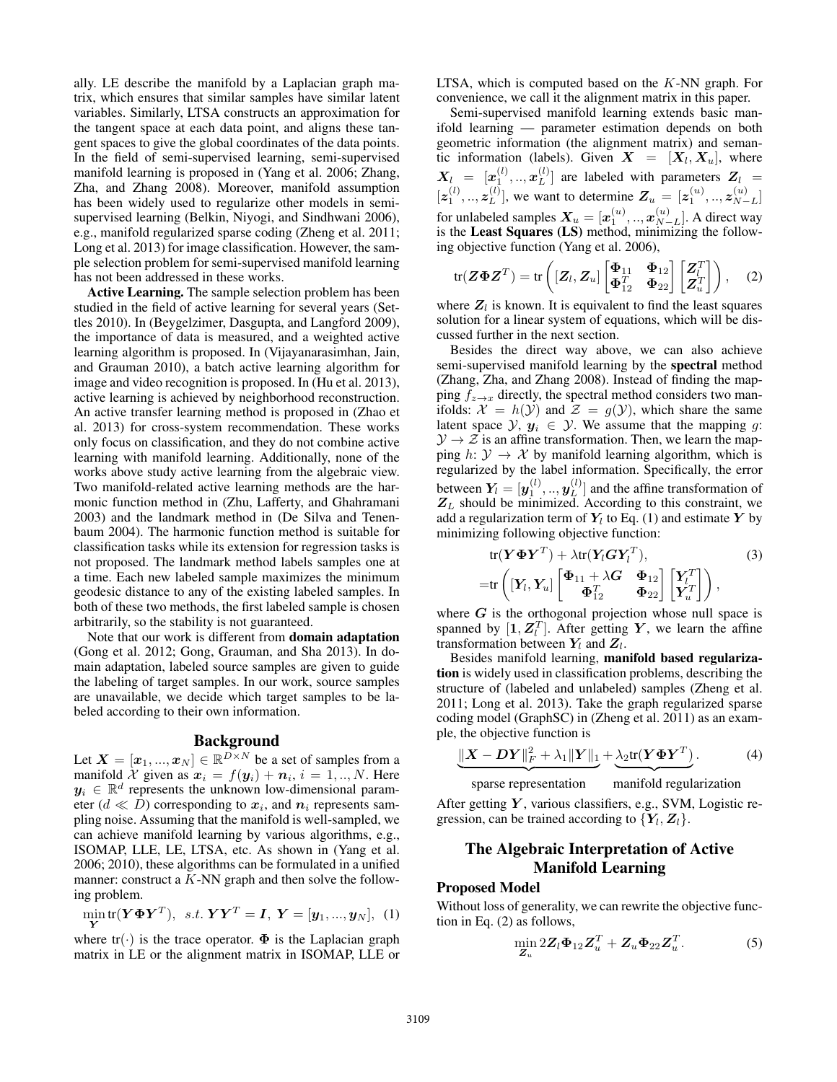ally. LE describe the manifold by a Laplacian graph matrix, which ensures that similar samples have similar latent variables. Similarly, LTSA constructs an approximation for the tangent space at each data point, and aligns these tangent spaces to give the global coordinates of the data points. In the field of semi-supervised learning, semi-supervised manifold learning is proposed in (Yang et al. 2006; Zhang, Zha, and Zhang 2008). Moreover, manifold assumption has been widely used to regularize other models in semisupervised learning (Belkin, Niyogi, and Sindhwani 2006), e.g., manifold regularized sparse coding (Zheng et al. 2011; Long et al. 2013) for image classification. However, the sample selection problem for semi-supervised manifold learning has not been addressed in these works.

Active Learning. The sample selection problem has been studied in the field of active learning for several years (Settles 2010). In (Beygelzimer, Dasgupta, and Langford 2009), the importance of data is measured, and a weighted active learning algorithm is proposed. In (Vijayanarasimhan, Jain, and Grauman 2010), a batch active learning algorithm for image and video recognition is proposed. In (Hu et al. 2013), active learning is achieved by neighborhood reconstruction. An active transfer learning method is proposed in (Zhao et al. 2013) for cross-system recommendation. These works only focus on classification, and they do not combine active learning with manifold learning. Additionally, none of the works above study active learning from the algebraic view. Two manifold-related active learning methods are the harmonic function method in (Zhu, Lafferty, and Ghahramani 2003) and the landmark method in (De Silva and Tenenbaum 2004). The harmonic function method is suitable for classification tasks while its extension for regression tasks is not proposed. The landmark method labels samples one at a time. Each new labeled sample maximizes the minimum geodesic distance to any of the existing labeled samples. In both of these two methods, the first labeled sample is chosen arbitrarily, so the stability is not guaranteed.

Note that our work is different from domain adaptation (Gong et al. 2012; Gong, Grauman, and Sha 2013). In domain adaptation, labeled source samples are given to guide the labeling of target samples. In our work, source samples are unavailable, we decide which target samples to be labeled according to their own information.

# Background

Let  $\boldsymbol{X} = [\boldsymbol{x}_1, ..., \boldsymbol{x}_N] \in \mathbb{R}^{D \times N}$  be a set of samples from a manifold X given as  $x_i = f(y_i) + n_i$ ,  $i = 1,..,N$ . Here  $y_i \in \mathbb{R}^d$  represents the unknown low-dimensional parameter ( $d \ll D$ ) corresponding to  $x_i$ , and  $n_i$  represents sampling noise. Assuming that the manifold is well-sampled, we can achieve manifold learning by various algorithms, e.g., ISOMAP, LLE, LE, LTSA, etc. As shown in (Yang et al. 2006; 2010), these algorithms can be formulated in a unified manner: construct a  $K$ -NN graph and then solve the following problem.

$$
\min_{\mathbf{Y}} \text{tr}(\mathbf{Y} \mathbf{\Phi} \mathbf{Y}^T), \ \ s.t. \ \mathbf{Y} \mathbf{Y}^T = \mathbf{I}, \ \mathbf{Y} = [\mathbf{y}_1, ..., \mathbf{y}_N], \ \ (1)
$$

where  $tr(\cdot)$  is the trace operator.  $\Phi$  is the Laplacian graph matrix in LE or the alignment matrix in ISOMAP, LLE or

LTSA, which is computed based on the  $K-NN$  graph. For convenience, we call it the alignment matrix in this paper.

Semi-supervised manifold learning extends basic manifold learning — parameter estimation depends on both geometric information (the alignment matrix) and semantic information (labels). Given  $X = [X_l, X_u]$ , where  $\bm{X}_l \; = \; [\bm{x}_1^{(l)},..,\bm{x}_L^{(l)}$  $L^{(l)}$ ] are labeled with parameters  $Z_l =$  $[\boldsymbol{z}_1^{(l)},..,\boldsymbol{z}_L^{(l)}$  $L^{(l)}$ ], we want to determine  $Z_u = [z_1^{(u)},..,z_{N-1}^{(u)}]$  $\binom{u}{N-L}$ for unlabeled samples  $\bm{X}_u = [\bm{x}_1^{(u)},..,\bm{x}_{N-}^{(u)}]$  $_{N-L}^{(u)}$ ]. A direct way is the Least Squares (LS) method, minimizing the following objective function (Yang et al. 2006),

$$
\operatorname{tr}(\boldsymbol{Z}\boldsymbol{\Phi}\boldsymbol{Z}^T) = \operatorname{tr}\left( [\boldsymbol{Z}_l, \boldsymbol{Z}_u] \begin{bmatrix} \boldsymbol{\Phi}_{11} & \boldsymbol{\Phi}_{12} \\ \boldsymbol{\Phi}_{12}^T & \boldsymbol{\Phi}_{22} \end{bmatrix} \begin{bmatrix} \boldsymbol{Z}_l^T \\ \boldsymbol{Z}_u^T \end{bmatrix} \right), \quad (2)
$$

where  $Z_l$  is known. It is equivalent to find the least squares solution for a linear system of equations, which will be discussed further in the next section.

Besides the direct way above, we can also achieve semi-supervised manifold learning by the spectral method (Zhang, Zha, and Zhang 2008). Instead of finding the mapping  $f_{z\rightarrow x}$  directly, the spectral method considers two manifolds:  $\mathcal{X} = h(\mathcal{Y})$  and  $\mathcal{Z} = g(\mathcal{Y})$ , which share the same latent space  $\mathcal{Y}, y_i \in \mathcal{Y}$ . We assume that the mapping g:  $\mathcal{Y} \rightarrow \mathcal{Z}$  is an affine transformation. Then, we learn the mapping  $h: \mathcal{Y} \to \mathcal{X}$  by manifold learning algorithm, which is regularized by the label information. Specifically, the error between  $\boldsymbol{Y_l} = [\boldsymbol{y}_1^{(l)},..,\boldsymbol{y}_L^{(l)}]$  $L^{(t)}$ ] and the affine transformation of  $Z_L$  should be minimized. According to this constraint, we add a regularization term of  $\boldsymbol{Y_l}$  to Eq. (1) and estimate  $\boldsymbol{Y}$  by minimizing following objective function:

$$
tr(\boldsymbol{Y\Phi Y}^T) + \lambda tr(\boldsymbol{Y}_l \boldsymbol{G Y}_l^T),
$$
\n
$$
= tr\left( [\boldsymbol{Y}_l, \boldsymbol{Y}_u] \begin{bmatrix} \boldsymbol{\Phi}_{11} + \lambda \boldsymbol{G} & \boldsymbol{\Phi}_{12} \\ \boldsymbol{\Phi}_{12}^T & \boldsymbol{\Phi}_{22} \end{bmatrix} \begin{bmatrix} \boldsymbol{Y}_l^T \\ \boldsymbol{Y}_u^T \end{bmatrix} \right),
$$
\n(3)

where  $G$  is the orthogonal projection whose null space is spanned by  $[\mathbf{1}, \mathbf{Z}_l^T]$ . After getting Y, we learn the affine transformation between  $Y_l$  and  $Z_l$ .

Besides manifold learning, manifold based regularization is widely used in classification problems, describing the structure of (labeled and unlabeled) samples (Zheng et al. 2011; Long et al. 2013). Take the graph regularized sparse coding model (GraphSC) in (Zheng et al. 2011) as an example, the objective function is

$$
\|\mathbf{X} - \mathbf{D}\mathbf{Y}\|_F^2 + \lambda_1 \|\mathbf{Y}\|_1 + \lambda_2 \text{tr}(\mathbf{Y} \boldsymbol{\Phi} \mathbf{Y}^T).
$$
 (4)

sparse representation sparse representation manifold regularization

After getting  $Y$ , various classifiers, e.g., SVM, Logistic regression, can be trained according to  $\{Y_l, Z_l\}$ .

# The Algebraic Interpretation of Active Manifold Learning

# Proposed Model

Without loss of generality, we can rewrite the objective function in Eq. (2) as follows,

$$
\min_{\mathbf{Z}_u} 2Z_l \mathbf{\Phi}_{12} \mathbf{Z}_u^T + \mathbf{Z}_u \mathbf{\Phi}_{22} \mathbf{Z}_u^T. \tag{5}
$$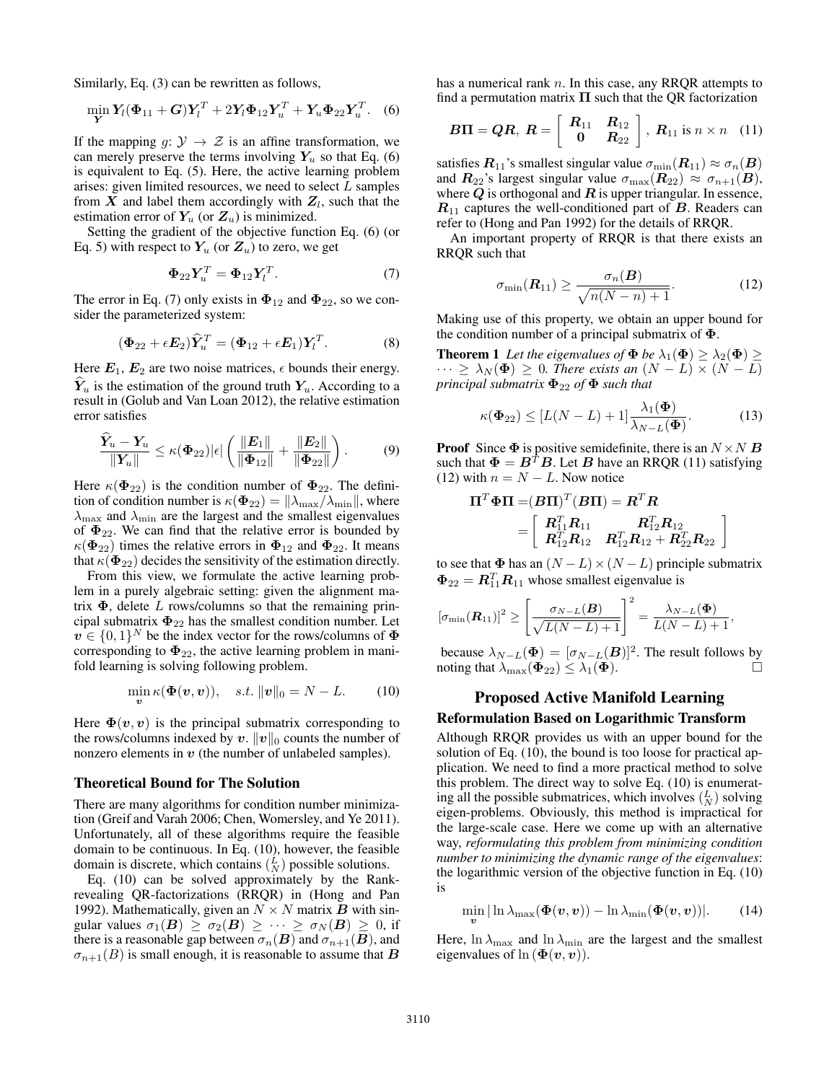Similarly, Eq. (3) can be rewritten as follows,

$$
\min_{\mathbf{Y}} \mathbf{Y}_l(\mathbf{\Phi}_{11} + \mathbf{G})\mathbf{Y}_l^T + 2\mathbf{Y}_l\mathbf{\Phi}_{12}\mathbf{Y}_u^T + \mathbf{Y}_u\mathbf{\Phi}_{22}\mathbf{Y}_u^T.
$$
 (6)

If the mapping  $g: \mathcal{Y} \to \mathcal{Z}$  is an affine transformation, we can merely preserve the terms involving  $Y_u$  so that Eq. (6) is equivalent to Eq. (5). Here, the active learning problem arises: given limited resources, we need to select  $L$  samples from  $X$  and label them accordingly with  $Z_l$ , such that the estimation error of  $Y_u$  (or  $Z_u$ ) is minimized.

Setting the gradient of the objective function Eq. (6) (or Eq. 5) with respect to  $Y_u$  (or  $Z_u$ ) to zero, we get

$$
\Phi_{22} Y_u^T = \Phi_{12} Y_l^T. \tag{7}
$$

The error in Eq. (7) only exists in  $\Phi_{12}$  and  $\Phi_{22}$ , so we consider the parameterized system:

$$
(\Phi_{22} + \epsilon E_2) \hat{Y}_u^T = (\Phi_{12} + \epsilon E_1) Y_l^T.
$$
 (8)

Here  $E_1, E_2$  are two noise matrices,  $\epsilon$  bounds their energy.  $Y_u$  is the estimation of the ground truth  $Y_u$ . According to a result in (Golub and Van Loan 2012), the relative estimation error satisfies

$$
\frac{\widehat{Y}_u - Y_u}{\|Y_u\|} \le \kappa(\Phi_{22})|\epsilon| \left( \frac{\|E_1\|}{\|\Phi_{12}\|} + \frac{\|E_2\|}{\|\Phi_{22}\|} \right). \tag{9}
$$

Here  $\kappa(\Phi_{22})$  is the condition number of  $\Phi_{22}$ . The definition of condition number is  $\kappa(\Phi_{22}) = ||\lambda_{\max}/\lambda_{\min}||$ , where  $\lambda_{\text{max}}$  and  $\lambda_{\text{min}}$  are the largest and the smallest eigenvalues of  $\Phi_{22}$ . We can find that the relative error is bounded by  $\kappa(\Phi_{22})$  times the relative errors in  $\Phi_{12}$  and  $\Phi_{22}$ . It means that  $\kappa(\Phi_{22})$  decides the sensitivity of the estimation directly.

From this view, we formulate the active learning problem in a purely algebraic setting: given the alignment matrix  $\Phi$ , delete L rows/columns so that the remaining principal submatrix  $\Phi_{22}$  has the smallest condition number. Let  $v \in \{0,1\}^N$  be the index vector for the rows/columns of  $\Phi$ corresponding to  $\Phi_{22}$ , the active learning problem in manifold learning is solving following problem.

$$
\min_{\boldsymbol{v}} \kappa(\boldsymbol{\Phi}(\boldsymbol{v},\boldsymbol{v})), \quad s.t. \, \|\boldsymbol{v}\|_0 = N - L. \tag{10}
$$

Here  $\Phi(v, v)$  is the principal submatrix corresponding to the rows/columns indexed by v.  $||v||_0$  counts the number of nonzero elements in  $v$  (the number of unlabeled samples).

#### Theoretical Bound for The Solution

There are many algorithms for condition number minimization (Greif and Varah 2006; Chen, Womersley, and Ye 2011). Unfortunately, all of these algorithms require the feasible domain to be continuous. In Eq. (10), however, the feasible domain is discrete, which contains  $\binom{L}{N}$  possible solutions.

Eq. (10) can be solved approximately by the Rankrevealing QR-factorizations (RRQR) in (Hong and Pan 1992). Mathematically, given an  $N \times N$  matrix **B** with singular values  $\sigma_1(B) \geq \sigma_2(B) \geq \cdots \geq \sigma_N(B) \geq 0$ , if there is a reasonable gap between  $\sigma_n(\mathbf{B})$  and  $\sigma_{n+1}(\mathbf{B})$ , and  $\sigma_{n+1}(B)$  is small enough, it is reasonable to assume that B has a numerical rank  $n$ . In this case, any RROR attempts to find a permutation matrix  $\Pi$  such that the QR factorization

$$
B\Pi = QR, R = \left[ \begin{array}{cc} R_{11} & R_{12} \\ 0 & R_{22} \end{array} \right], R_{11} \text{ is } n \times n \quad (11)
$$

satisfies  $R_{11}$ 's smallest singular value  $\sigma_{\min}(R_{11}) \approx \sigma_n(B)$ and  $\mathbf{R}_{22}$ 's largest singular value  $\sigma_{\text{max}}(\mathbf{R}_{22}) \approx \sigma_{n+1}(\mathbf{B}),$ where  $Q$  is orthogonal and  $R$  is upper triangular. In essence,  $R_{11}$  captures the well-conditioned part of B. Readers can refer to (Hong and Pan 1992) for the details of RRQR.

An important property of RRQR is that there exists an RRQR such that

$$
\sigma_{\min}(\boldsymbol{R}_{11}) \ge \frac{\sigma_n(\boldsymbol{B})}{\sqrt{n(N-n)+1}}.\tag{12}
$$

Making use of this property, we obtain an upper bound for the condition number of a principal submatrix of  $\Phi$ .

**Theorem 1** Let the eigenvalues of  $\Phi$  be  $\lambda_1(\Phi) \geq \lambda_2(\Phi) \geq$  $\cdots \geq \lambda_N(\Phi) \geq 0$ . There exists an  $(N - L) \times (N - L)$ *principal submatrix*  $\Phi_{22}$  *of*  $\Phi$  *such that* 

$$
\kappa(\mathbf{\Phi}_{22}) \le [L(N-L)+1] \frac{\lambda_1(\mathbf{\Phi})}{\lambda_{N-L}(\mathbf{\Phi})}. \tag{13}
$$

**Proof** Since  $\Phi$  is positive semidefinite, there is an  $N \times N$  **B** such that  $\Phi = B^T B$ . Let B have an RRQR (11) satisfying (12) with  $n = N - L$ . Now notice

$$
\begin{aligned} \boldsymbol{\Pi}^T \boldsymbol{\Phi}\boldsymbol{\Pi} = &(\boldsymbol{B}\boldsymbol{\Pi})^T (\boldsymbol{B}\boldsymbol{\Pi}) = \boldsymbol{R}^T \boldsymbol{R} \\ = & \left[ \begin{array}{cc} \boldsymbol{R}_{11}^T \boldsymbol{R}_{11} & \boldsymbol{R}_{12}^T \boldsymbol{R}_{12} \\ \boldsymbol{R}_{12}^T \boldsymbol{R}_{12} & \boldsymbol{R}_{12}^T \boldsymbol{R}_{12} + \boldsymbol{R}_{22}^T \boldsymbol{R}_{22} \end{array} \right] \end{aligned}
$$

to see that  $\Phi$  has an  $(N - L) \times (N - L)$  principle submatrix  $\mathbf{\Phi}_{22} = \mathbf{R}_{11}^T \mathbf{R}_{11}$  whose smallest eigenvalue is

$$
[\sigma_{\min}(\boldsymbol{R}_{11})]^2 \geq \left[\frac{\sigma_{N-L}(\boldsymbol{B})}{\sqrt{L(N-L)+1}}\right]^2 = \frac{\lambda_{N-L}(\boldsymbol{\Phi})}{L(N-L)+1},
$$

because  $\lambda_{N-L}(\mathbf{\Phi}) = [\sigma_{N-L}(\mathbf{B})]^2$ . The result follows by noting that  $\lambda_{\max}(\mathbf{\Phi}_{22}) \leq \lambda_1(\mathbf{\Phi})$ .

# Proposed Active Manifold Learning Reformulation Based on Logarithmic Transform

Although RRQR provides us with an upper bound for the solution of Eq. (10), the bound is too loose for practical application. We need to find a more practical method to solve this problem. The direct way to solve Eq. (10) is enumerating all the possible submatrices, which involves  $\binom{L}{N}$  solving eigen-problems. Obviously, this method is impractical for the large-scale case. Here we come up with an alternative way, *reformulating this problem from minimizing condition number to minimizing the dynamic range of the eigenvalues*: the logarithmic version of the objective function in Eq. (10) is

$$
\min_{\boldsymbol{v}}|\ln\lambda_{\max}(\boldsymbol{\Phi}(\boldsymbol{v},\boldsymbol{v})) - \ln\lambda_{\min}(\boldsymbol{\Phi}(\boldsymbol{v},\boldsymbol{v}))|.
$$
 (14)

Here,  $\ln \lambda_{\text{max}}$  and  $\ln \lambda_{\text{min}}$  are the largest and the smallest eigenvalues of  $\ln (\Phi(v, v))$ .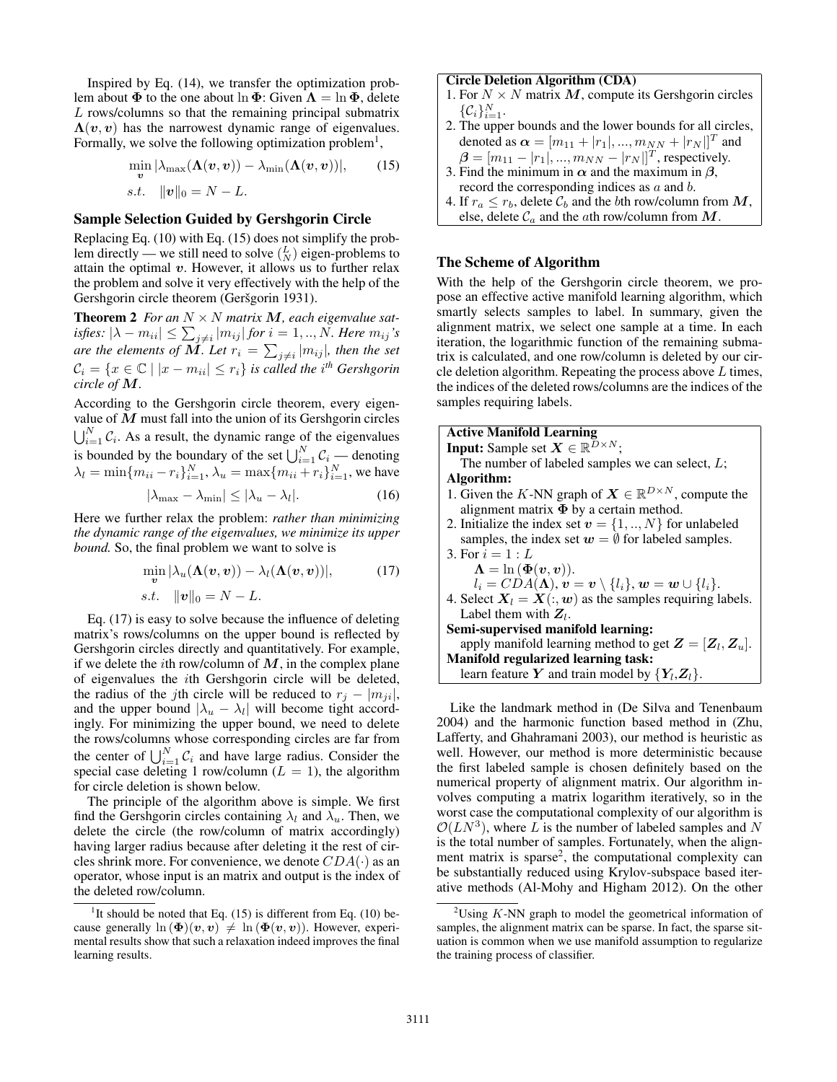Inspired by Eq. (14), we transfer the optimization problem about  $\Phi$  to the one about  $\ln \Phi$ : Given  $\Lambda = \ln \Phi$ , delete L rows/columns so that the remaining principal submatrix  $\Lambda(v, v)$  has the narrowest dynamic range of eigenvalues. Formally, we solve the following optimization problem<sup>1</sup>,

$$
\min_{\boldsymbol{v}} |\lambda_{\max}(\boldsymbol{\Lambda}(\boldsymbol{v}, \boldsymbol{v})) - \lambda_{\min}(\boldsymbol{\Lambda}(\boldsymbol{v}, \boldsymbol{v}))|, \qquad (15)
$$
  
s.t. 
$$
\|\boldsymbol{v}\|_0 = N - L.
$$

#### Sample Selection Guided by Gershgorin Circle

Replacing Eq. (10) with Eq. (15) does not simplify the problem directly — we still need to solve  $\binom{L}{N}$  eigen-problems to attain the optimal  $v$ . However, it allows us to further relax the problem and solve it very effectively with the help of the Gershgorin circle theorem (Geršgorin 1931).

**Theorem 2** For an  $N \times N$  matrix M, each eigenvalue satisfies:  $|\lambda - m_{ii}| \leq \sum_{j \neq i} |m_{ij}|$  for  $i = 1,..,N.$  Here  $m_{ij}$  's are the elements of  $M.$  Let  $r_i = \sum_{j \neq i} |m_{ij}|$ , then the set  $\mathcal{C}_i = \{x \in \mathbb{C} \mid |x - m_{ii}| \leq r_i\}$  is called the i<sup>th</sup> Gershgorin *circle of* M*.*

According to the Gershgorin circle theorem, every eigenvalue of  $M$  must fall into the union of its Gershgorin circles  $\bigcup_{i=1}^{N} C_i$ . As a result, the dynamic range of the eigenvalues is bounded by the boundary of the set  $\bigcup_{i=1}^{N} C_i$  — denoting  $\lambda_l = \min\{m_{ii} - r_i\}_{i=1}^N, \lambda_u = \max\{m_{ii} + r_i\}_{i=1}^N$ , we have  $|\lambda_{\max} - \lambda_{\min}| \leq |\lambda_u - \lambda_l|.$  $(16)$ 

Here we further relax the problem: *rather than minimizing the dynamic range of the eigenvalues, we minimize its upper bound.* So, the final problem we want to solve is

$$
\min_{\mathbf{v}} |\lambda_u(\mathbf{\Lambda}(\mathbf{v}, \mathbf{v})) - \lambda_l(\mathbf{\Lambda}(\mathbf{v}, \mathbf{v}))|,
$$
(17)  
s.t.  $\|\mathbf{v}\|_0 = N - L.$ 

Eq. (17) is easy to solve because the influence of deleting matrix's rows/columns on the upper bound is reflected by Gershgorin circles directly and quantitatively. For example, if we delete the *i*th row/column of  $M$ , in the complex plane of eigenvalues the ith Gershgorin circle will be deleted, the radius of the jth circle will be reduced to  $r_i - |m_{ii}|$ , and the upper bound  $|\lambda_u - \lambda_l|$  will become tight accordingly. For minimizing the upper bound, we need to delete the rows/columns whose corresponding circles are far from the center of  $\bigcup_{i=1}^{N} C_i$  and have large radius. Consider the special case deleting 1 row/column ( $L = 1$ ), the algorithm for circle deletion is shown below.

The principle of the algorithm above is simple. We first find the Gershgorin circles containing  $\lambda_l$  and  $\lambda_u$ . Then, we delete the circle (the row/column of matrix accordingly) having larger radius because after deleting it the rest of circles shrink more. For convenience, we denote  $CDA(\cdot)$  as an operator, whose input is an matrix and output is the index of the deleted row/column.

#### Circle Deletion Algorithm (CDA)

- 1. For  $N \times N$  matrix M, compute its Gershgorin circles  $\{\mathcal{C}_i\}_{i=1}^N$ .
- 2. The upper bounds and the lower bounds for all circles, denoted as  $\bm{\alpha} = [m_{11} + |r_1|, ..., m_{NN} + |r_N|]^T$  and
- $\bm{\beta} = [m_{11} |r_1|, ..., m_{NN} |r_N|]^T$ , respectively.
- 3. Find the minimum in  $\alpha$  and the maximum in  $\beta$ , record the corresponding indices as a and b. 4. If  $r_a \le r_b$ , delete  $\mathcal{C}_b$  and the bth row/column from  $M$ ,
- else, delete  $C_a$  and the ath row/column from  $M$ .

# The Scheme of Algorithm

With the help of the Gershgorin circle theorem, we propose an effective active manifold learning algorithm, which smartly selects samples to label. In summary, given the alignment matrix, we select one sample at a time. In each iteration, the logarithmic function of the remaining submatrix is calculated, and one row/column is deleted by our circle deletion algorithm. Repeating the process above  $L$  times, the indices of the deleted rows/columns are the indices of the samples requiring labels.

| <b>Active Manifold Learning</b>                                          |
|--------------------------------------------------------------------------|
| <b>Input:</b> Sample set $X \in \mathbb{R}^{D \times N}$ ;               |
| The number of labeled samples we can select, $L$ ;                       |
| Algorithm:                                                               |
| 1. Given the K-NN graph of $X \in \mathbb{R}^{D \times N}$ , compute the |
| alignment matrix $\Phi$ by a certain method.                             |
| 2. Initialize the index set $v = \{1, , N\}$ for unlabeled               |
| samples, the index set $w = \emptyset$ for labeled samples.              |
| 3. For $i = 1 : L$                                                       |
| $\Lambda = \ln \left( \Phi(v, v) \right).$                               |
| $l_i = CDA(\Lambda), v = v \setminus \{l_i\}, w = w \cup \{l_i\}.$       |
| 4. Select $X_l = X(:, w)$ as the samples requiring labels.               |
| Label them with $Z_i$ .                                                  |
| Semi-supervised manifold learning:                                       |
| apply manifold learning method to get $Z = [Z_l, Z_u]$ .                 |
| Manifold regularized learning task:                                      |
| learn feature Y and train model by $\{Y_l, Z_l\}$ .                      |

Like the landmark method in (De Silva and Tenenbaum 2004) and the harmonic function based method in (Zhu, Lafferty, and Ghahramani 2003), our method is heuristic as well. However, our method is more deterministic because the first labeled sample is chosen definitely based on the numerical property of alignment matrix. Our algorithm involves computing a matrix logarithm iteratively, so in the worst case the computational complexity of our algorithm is  $\mathcal{O}(LN^3)$ , where L is the number of labeled samples and N is the total number of samples. Fortunately, when the alignment matrix is sparse<sup>2</sup>, the computational complexity can be substantially reduced using Krylov-subspace based iterative methods (Al-Mohy and Higham 2012). On the other

<sup>&</sup>lt;sup>1</sup>It should be noted that Eq.  $(15)$  is different from Eq.  $(10)$  because generally  $\ln (\Phi)(v, v) \neq \ln (\Phi(v, v))$ . However, experimental results show that such a relaxation indeed improves the final learning results.

 $2$ Using K-NN graph to model the geometrical information of samples, the alignment matrix can be sparse. In fact, the sparse situation is common when we use manifold assumption to regularize the training process of classifier.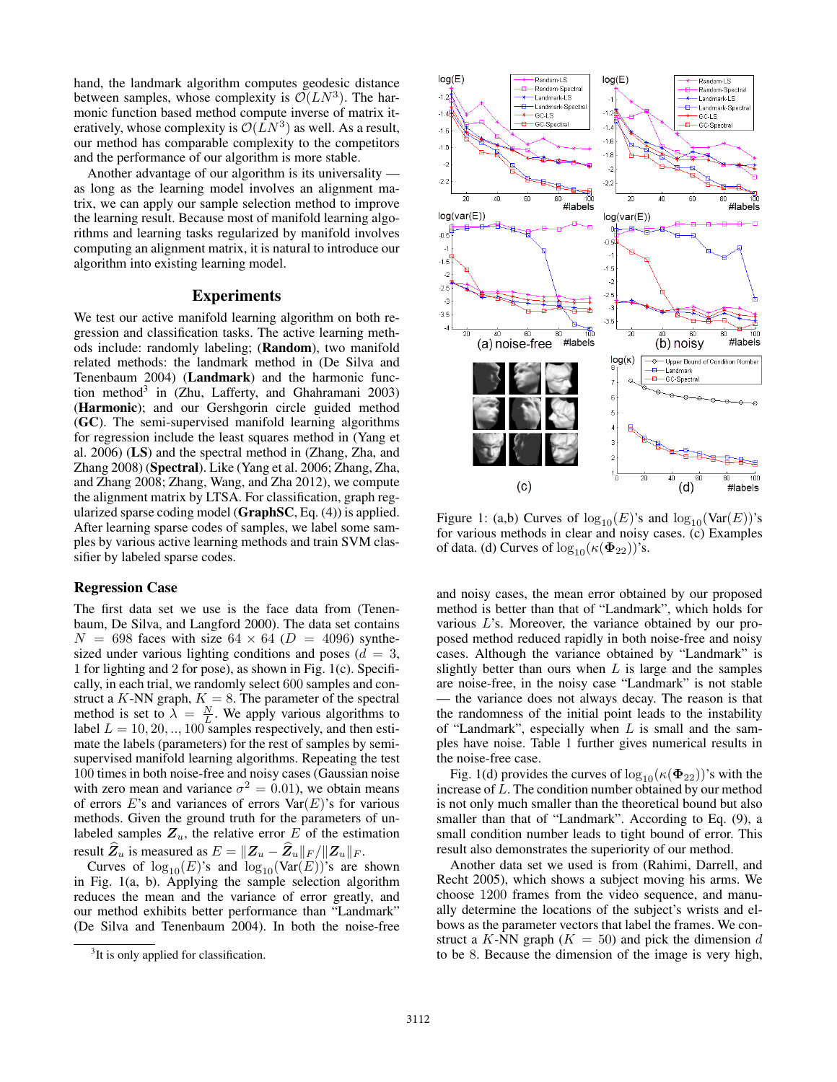hand, the landmark algorithm computes geodesic distance between samples, whose complexity is  $\mathcal{O}(LN^3)$ . The harmonic function based method compute inverse of matrix iteratively, whose complexity is  $\mathcal{O}(LN^3)$  as well. As a result, our method has comparable complexity to the competitors and the performance of our algorithm is more stable.

Another advantage of our algorithm is its universality as long as the learning model involves an alignment matrix, we can apply our sample selection method to improve the learning result. Because most of manifold learning algorithms and learning tasks regularized by manifold involves computing an alignment matrix, it is natural to introduce our algorithm into existing learning model.

## **Experiments**

We test our active manifold learning algorithm on both regression and classification tasks. The active learning methods include: randomly labeling; (Random), two manifold related methods: the landmark method in (De Silva and Tenenbaum 2004) (Landmark) and the harmonic function method<sup>3</sup> in (Zhu, Lafferty, and Ghahramani 2003) (Harmonic); and our Gershgorin circle guided method (GC). The semi-supervised manifold learning algorithms for regression include the least squares method in (Yang et al. 2006) (LS) and the spectral method in (Zhang, Zha, and Zhang 2008) (Spectral). Like (Yang et al. 2006; Zhang, Zha, and Zhang 2008; Zhang, Wang, and Zha 2012), we compute the alignment matrix by LTSA. For classification, graph regularized sparse coding model (GraphSC, Eq. (4)) is applied. After learning sparse codes of samples, we label some samples by various active learning methods and train SVM classifier by labeled sparse codes.

#### Regression Case

The first data set we use is the face data from (Tenenbaum, De Silva, and Langford 2000). The data set contains  $N = 698$  faces with size 64  $\times$  64 (D = 4096) synthesized under various lighting conditions and poses ( $d = 3$ , 1 for lighting and 2 for pose), as shown in Fig. 1(c). Specifically, in each trial, we randomly select 600 samples and construct a K-NN graph,  $K = 8$ . The parameter of the spectral method is set to  $\lambda = \frac{N}{L}$ . We apply various algorithms to label  $L = 10, 20, \dots, 100$  samples respectively, and then estimate the labels (parameters) for the rest of samples by semisupervised manifold learning algorithms. Repeating the test 100 times in both noise-free and noisy cases (Gaussian noise with zero mean and variance  $\sigma^2 = 0.01$ ), we obtain means of errors  $E$ 's and variances of errors  $Var(E)$ 's for various methods. Given the ground truth for the parameters of unlabeled samples  $Z_u$ , the relative error E of the estimation result  $\mathbf{Z}_u$  is measured as  $E = ||\mathbf{Z}_u - \mathbf{Z}_u||_F / ||\mathbf{Z}_u||_F$ .

Curves of  $log_{10}(E)$ 's and  $log_{10}(Var(E))$ 's are shown in Fig. 1(a, b). Applying the sample selection algorithm reduces the mean and the variance of error greatly, and our method exhibits better performance than "Landmark" (De Silva and Tenenbaum 2004). In both the noise-free



Figure 1: (a,b) Curves of  $log_{10}(E)$ 's and  $log_{10}(Var(E))$ 's for various methods in clear and noisy cases. (c) Examples of data. (d) Curves of  $\log_{10}(\kappa(\Phi_{22}))$ 's.

and noisy cases, the mean error obtained by our proposed method is better than that of "Landmark", which holds for various L's. Moreover, the variance obtained by our proposed method reduced rapidly in both noise-free and noisy cases. Although the variance obtained by "Landmark" is slightly better than ours when  $L$  is large and the samples are noise-free, in the noisy case "Landmark" is not stable — the variance does not always decay. The reason is that the randomness of the initial point leads to the instability of "Landmark", especially when  $L$  is small and the samples have noise. Table 1 further gives numerical results in the noise-free case.

Fig. 1(d) provides the curves of  $log_{10}(\kappa(\Phi_{22}))$ 's with the increase of L. The condition number obtained by our method is not only much smaller than the theoretical bound but also smaller than that of "Landmark". According to Eq. (9), a small condition number leads to tight bound of error. This result also demonstrates the superiority of our method.

Another data set we used is from (Rahimi, Darrell, and Recht 2005), which shows a subject moving his arms. We choose 1200 frames from the video sequence, and manually determine the locations of the subject's wrists and elbows as the parameter vectors that label the frames. We construct a K-NN graph  $(K = 50)$  and pick the dimension d to be 8. Because the dimension of the image is very high,

<sup>&</sup>lt;sup>3</sup>It is only applied for classification.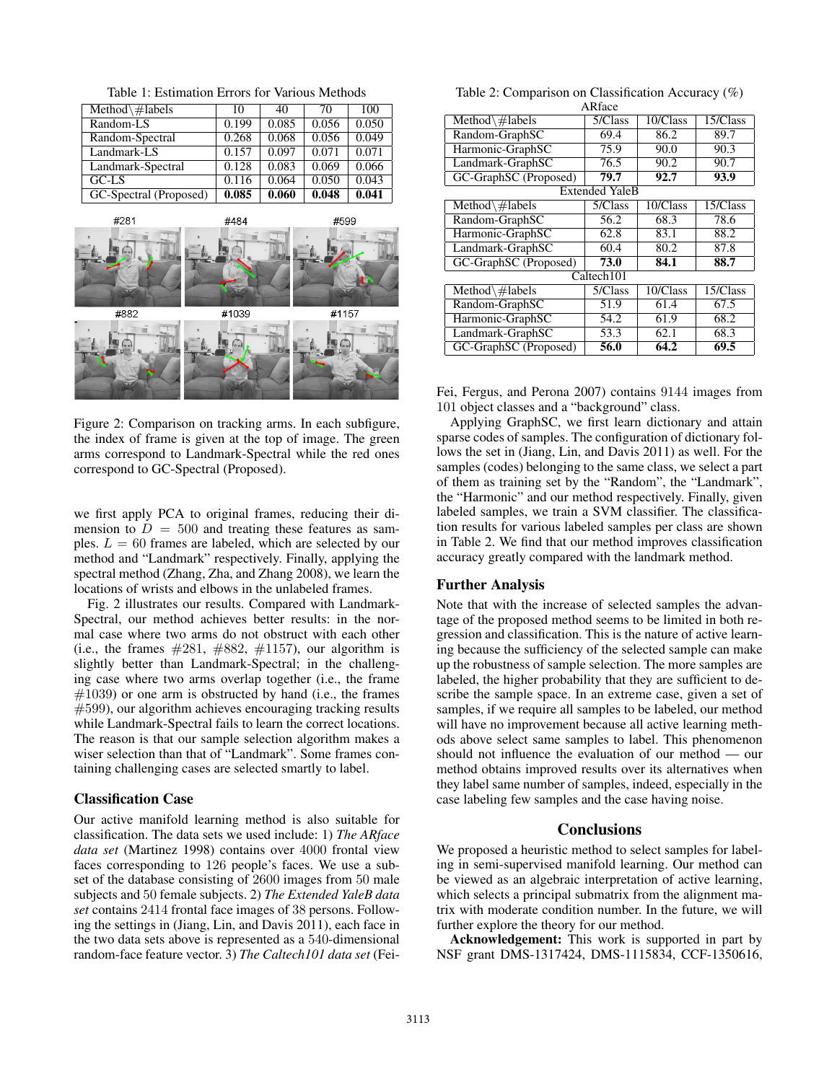Table 1: Estimation Errors for Various Methods

| Method $\#$ labels     | 10    | 40    | 70    | 100   |
|------------------------|-------|-------|-------|-------|
| Random-LS              | 0.199 | 0.085 | 0.056 | 0.050 |
| Random-Spectral        | 0.268 | 0.068 | 0.056 | 0.049 |
| Landmark-LS            | 0.157 | 0.097 | 0.071 | 0.071 |
| Landmark-Spectral      | 0.128 | 0.083 | 0.069 | 0.066 |
| GCI.S                  | 0.116 | 0.064 | 0.050 | 0.043 |
| GC-Spectral (Proposed) | 0.085 | 0.060 | 0.048 | 0.041 |



Figure 2: Comparison on tracking arms. In each subfigure, the index of frame is given at the top of image. The green arms correspond to Landmark-Spectral while the red ones correspond to GC-Spectral (Proposed).

we first apply PCA to original frames, reducing their dimension to  $D = 500$  and treating these features as samples.  $L = 60$  frames are labeled, which are selected by our method and "Landmark" respectively. Finally, applying the spectral method (Zhang, Zha, and Zhang 2008), we learn the locations of wrists and elbows in the unlabeled frames.

Fig. 2 illustrates our results. Compared with Landmark-Spectral, our method achieves better results: in the normal case where two arms do not obstruct with each other (i.e., the frames  $\#281, \#882, \#1157$ ), our algorithm is slightly better than Landmark-Spectral; in the challenging case where two arms overlap together (i.e., the frame  $#1039$ ) or one arm is obstructed by hand (i.e., the frames  $#599$ , our algorithm achieves encouraging tracking results while Landmark-Spectral fails to learn the correct locations. The reason is that our sample selection algorithm makes a wiser selection than that of "Landmark". Some frames containing challenging cases are selected smartly to label.

### Classification Case

Our active manifold learning method is also suitable for classification. The data sets we used include: 1) *The ARface data set* (Martinez 1998) contains over 4000 frontal view faces corresponding to 126 people's faces. We use a subset of the database consisting of 2600 images from 50 male subjects and 50 female subjects. 2) *The Extended YaleB data set* contains 2414 frontal face images of 38 persons. Following the settings in (Jiang, Lin, and Davis 2011), each face in the two data sets above is represented as a 540-dimensional random-face feature vector. 3) *The Caltech101 data set* (Fei-

Table 2: Comparison on Classification Accuracy (%) ARface

| 5/Class               | 10/Class | 15/Class    |  |  |  |  |
|-----------------------|----------|-------------|--|--|--|--|
| 69.4                  | 86.2     | 89.7        |  |  |  |  |
| 75.9                  | 90.0     | 90.3        |  |  |  |  |
| 76.5                  | 90.2     | 90.7        |  |  |  |  |
| 79.7                  | 92.7     | 93.9        |  |  |  |  |
| <b>Extended YaleB</b> |          |             |  |  |  |  |
| 5/Class               | 10/Class | $15/C$ lass |  |  |  |  |
| 56.2                  | 68.3     | 78.6        |  |  |  |  |
| 62.8                  | 83.1     | 88.2        |  |  |  |  |
| 60.4                  | 80.2     | 87.8        |  |  |  |  |
| 73.0                  | 84.1     | 88.7        |  |  |  |  |
| Caltech101            |          |             |  |  |  |  |
| 5/Class               | 10/Class | 15/Class    |  |  |  |  |
| 51.9                  | 61.4     | 67.5        |  |  |  |  |
| 54.2                  | 61.9     | 68.2        |  |  |  |  |
| 53.3                  | 62.1     | 68.3        |  |  |  |  |
| 56.0                  | 64.2     | 69.5        |  |  |  |  |
|                       |          |             |  |  |  |  |

Fei, Fergus, and Perona 2007) contains 9144 images from 101 object classes and a "background" class.

Applying GraphSC, we first learn dictionary and attain sparse codes of samples. The configuration of dictionary follows the set in (Jiang, Lin, and Davis 2011) as well. For the samples (codes) belonging to the same class, we select a part of them as training set by the "Random", the "Landmark", the "Harmonic" and our method respectively. Finally, given labeled samples, we train a SVM classifier. The classification results for various labeled samples per class are shown in Table 2. We find that our method improves classification accuracy greatly compared with the landmark method.

### Further Analysis

Note that with the increase of selected samples the advantage of the proposed method seems to be limited in both regression and classification. This is the nature of active learning because the sufficiency of the selected sample can make up the robustness of sample selection. The more samples are labeled, the higher probability that they are sufficient to describe the sample space. In an extreme case, given a set of samples, if we require all samples to be labeled, our method will have no improvement because all active learning methods above select same samples to label. This phenomenon should not influence the evaluation of our method — our method obtains improved results over its alternatives when they label same number of samples, indeed, especially in the case labeling few samples and the case having noise.

#### **Conclusions**

We proposed a heuristic method to select samples for labeling in semi-supervised manifold learning. Our method can be viewed as an algebraic interpretation of active learning, which selects a principal submatrix from the alignment matrix with moderate condition number. In the future, we will further explore the theory for our method.

Acknowledgement: This work is supported in part by NSF grant DMS-1317424, DMS-1115834, CCF-1350616,